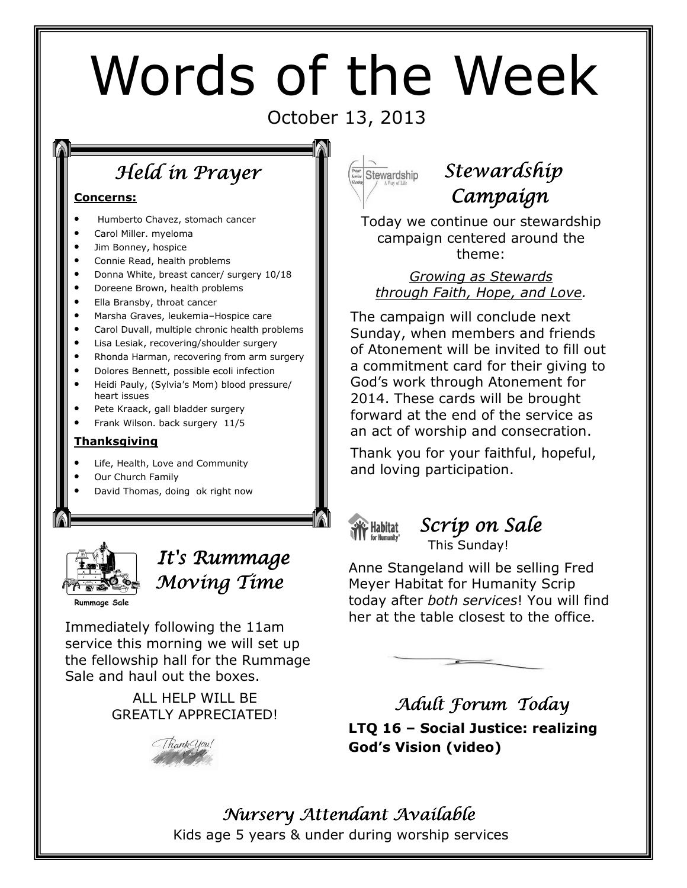# Words of the Week

### October 13, 2013

# Held in Prayer

#### Concerns:

- Humberto Chavez, stomach cancer
- Carol Miller. myeloma
- Jim Bonney, hospice
- Connie Read, health problems
- Donna White, breast cancer/ surgery 10/18
- Doreene Brown, health problems
- Ella Bransby, throat cancer
- Marsha Graves, leukemia–Hospice care
- Carol Duvall, multiple chronic health problems
- Lisa Lesiak, recovering/shoulder surgery
- Rhonda Harman, recovering from arm surgery
- Dolores Bennett, possible ecoli infection
- Heidi Pauly, (Sylvia's Mom) blood pressure/ heart issues
- Pete Kraack, gall bladder surgery
- Frank Wilson. back surgery 11/5

#### Thanksgiving

- Life, Health, Love and Community
- Our Church Family
- David Thomas, doing ok right now



## It's Rummage Moving Time

**Rummage Sale** 

Immediately following the 11am service this morning we will set up the fellowship hall for the Rummage Sale and haul out the boxes.

#### ALL HELP WILL BE GREATLY APPRECIATED!





# Stewardship Campaign

Today we continue our stewardship campaign centered around the theme:

#### Growing as Stewards through Faith, Hope, and Love.

The campaign will conclude next Sunday, when members and friends of Atonement will be invited to fill out a commitment card for their giving to God's work through Atonement for 2014. These cards will be brought forward at the end of the service as an act of worship and consecration.

Thank you for your faithful, hopeful, and loving participation.



#### Scrip on Sale This Sunday!

Anne Stangeland will be selling Fred Meyer Habitat for Humanity Scrip today after both services! You will find her at the table closest to the office.



Adult Forum Today LTQ 16 – Social Justice: realizing God's Vision (video)

# Nursery Attendant Available

Kids age 5 years & under during worship services